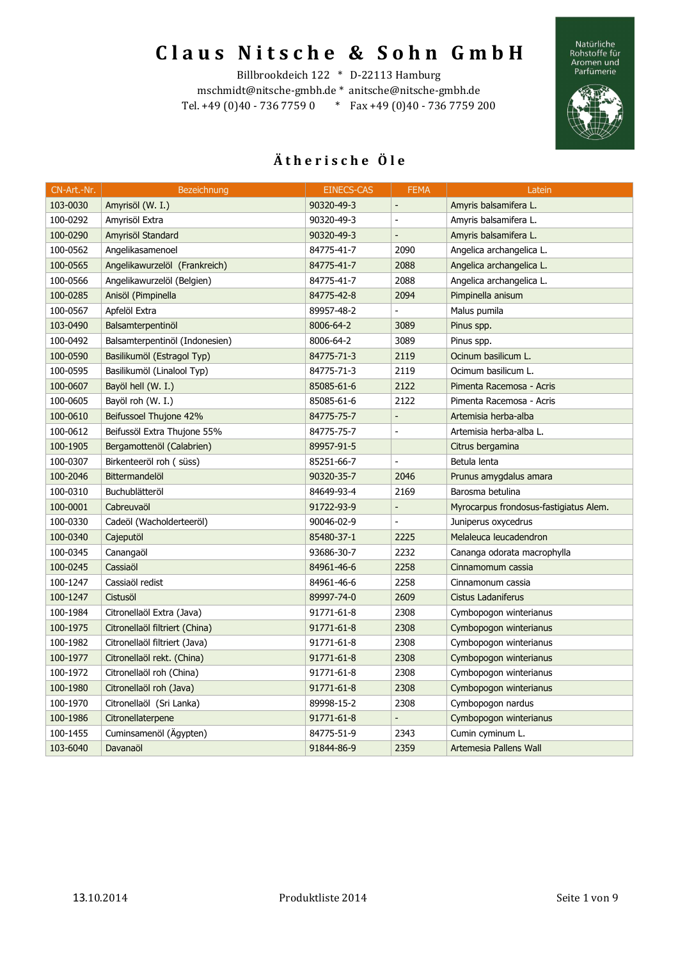Natürliche<br>Rohstoffe für<br>Aromen und<br>Parfümerie



### Billbrookdeich 122 \* D-22113 Hamburg

mschmidt@nitsche-gmbh.de \* anitsche@nitsche-gmbh.de Tel. +49 (0)40 - 736 7759 0 \* Fax +49 (0)40 - 736 7759 200

| CN-Art.-Nr. | Bezeichnung                    | <b>EINECS-CAS</b> | <b>FEMA</b>                  | Latein                                 |
|-------------|--------------------------------|-------------------|------------------------------|----------------------------------------|
| 103-0030    | Amyrisöl (W. I.)               | 90320-49-3        | $\qquad \qquad \blacksquare$ | Amyris balsamifera L.                  |
| 100-0292    | Amyrisöl Extra                 | 90320-49-3        | $\overline{a}$               | Amyris balsamifera L.                  |
| 100-0290    | Amyrisöl Standard              | 90320-49-3        |                              | Amyris balsamifera L.                  |
| 100-0562    | Angelikasamenoel               | 84775-41-7        | 2090                         | Angelica archangelica L.               |
| 100-0565    | Angelikawurzelöl (Frankreich)  | 84775-41-7        | 2088                         | Angelica archangelica L.               |
| 100-0566    | Angelikawurzelöl (Belgien)     | 84775-41-7        | 2088                         | Angelica archangelica L.               |
| 100-0285    | Anisöl (Pimpinella             | 84775-42-8        | 2094                         | Pimpinella anisum                      |
| 100-0567    | Apfelöl Extra                  | 89957-48-2        |                              | Malus pumila                           |
| 103-0490    | Balsamterpentinöl              | 8006-64-2         | 3089                         | Pinus spp.                             |
| 100-0492    | Balsamterpentinöl (Indonesien) | 8006-64-2         | 3089                         | Pinus spp.                             |
| 100-0590    | Basilikumöl (Estragol Typ)     | 84775-71-3        | 2119                         | Ocinum basilicum L.                    |
| 100-0595    | Basilikumöl (Linalool Typ)     | 84775-71-3        | 2119                         | Ocimum basilicum L.                    |
| 100-0607    | Bayöl hell (W. I.)             | 85085-61-6        | 2122                         | Pimenta Racemosa - Acris               |
| 100-0605    | Bayöl roh (W. I.)              | 85085-61-6        | 2122                         | Pimenta Racemosa - Acris               |
| 100-0610    | Beifussoel Thujone 42%         | 84775-75-7        | $\overline{a}$               | Artemisia herba-alba                   |
| 100-0612    | Beifussöl Extra Thujone 55%    | 84775-75-7        | $\overline{a}$               | Artemisia herba-alba L.                |
| 100-1905    | Bergamottenöl (Calabrien)      | 89957-91-5        |                              | Citrus bergamina                       |
| 100-0307    | Birkenteeröl roh (süss)        | 85251-66-7        | $\overline{a}$               | Betula lenta                           |
| 100-2046    | Bittermandelöl                 | 90320-35-7        | 2046                         | Prunus amygdalus amara                 |
| 100-0310    | Buchublätteröl                 | 84649-93-4        | 2169                         | Barosma betulina                       |
| 100-0001    | Cabreuvaöl                     | 91722-93-9        | $\frac{1}{2}$                | Myrocarpus frondosus-fastigiatus Alem. |
| 100-0330    | Cadeöl (Wacholderteeröl)       | 90046-02-9        | $\blacksquare$               | Juniperus oxycedrus                    |
| 100-0340    | Cajeputöl                      | 85480-37-1        | 2225                         | Melaleuca leucadendron                 |
| 100-0345    | Canangaöl                      | 93686-30-7        | 2232                         | Cananga odorata macrophylla            |
| 100-0245    | Cassiaöl                       | 84961-46-6        | 2258                         | Cinnamomum cassia                      |
| 100-1247    | Cassiaöl redist                | 84961-46-6        | 2258                         | Cinnamonum cassia                      |
| 100-1247    | Cistusöl                       | 89997-74-0        | 2609                         | <b>Cistus Ladaniferus</b>              |
| 100-1984    | Citronellaöl Extra (Java)      | 91771-61-8        | 2308                         | Cymbopogon winterianus                 |
| 100-1975    | Citronellaöl filtriert (China) | 91771-61-8        | 2308                         | Cymbopogon winterianus                 |
| 100-1982    | Citronellaöl filtriert (Java)  | 91771-61-8        | 2308                         | Cymbopogon winterianus                 |
| 100-1977    | Citronellaöl rekt. (China)     | 91771-61-8        | 2308                         | Cymbopogon winterianus                 |
| 100-1972    | Citronellaöl roh (China)       | 91771-61-8        | 2308                         | Cymbopogon winterianus                 |
| 100-1980    | Citronellaöl roh (Java)        | 91771-61-8        | 2308                         | Cymbopogon winterianus                 |
| 100-1970    | Citronellaöl (Sri Lanka)       | 89998-15-2        | 2308                         | Cymbopogon nardus                      |
| 100-1986    | Citronellaterpene              | 91771-61-8        | $\overline{a}$               | Cymbopogon winterianus                 |
| 100-1455    | Cuminsamenöl (Ägypten)         | 84775-51-9        | 2343                         | Cumin cyminum L.                       |
| 103-6040    | Davanaöl                       | 91844-86-9        | 2359                         | Artemesia Pallens Wall                 |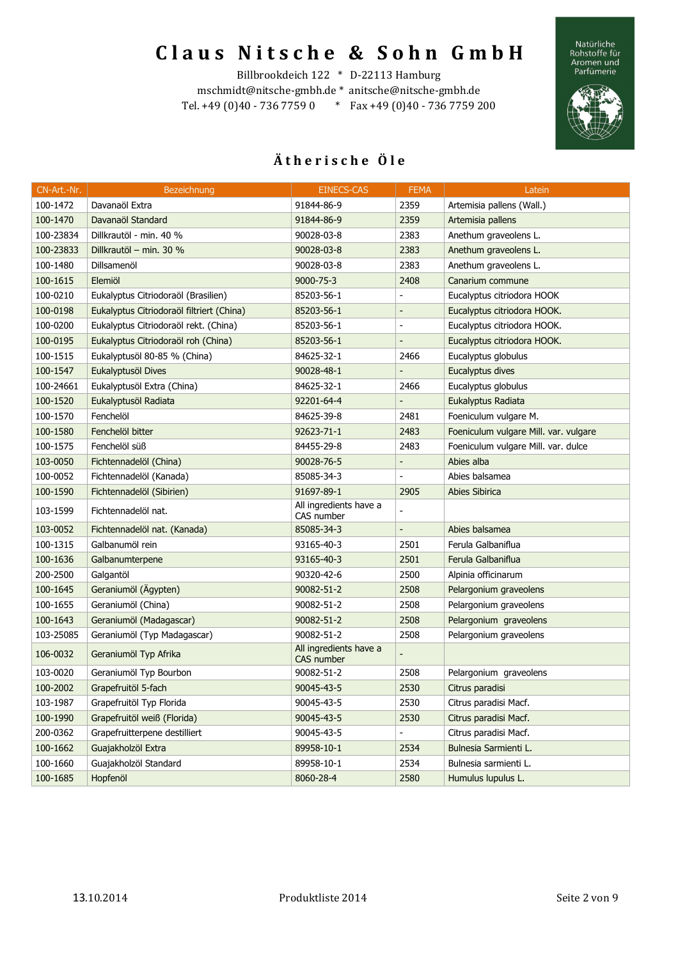Natürliche<br>Rohstoffe für<br>Aromen und<br>Parfümerie



#### Billbrookdeich 122 \* D-22113 Hamburg

mschmidt@nitsche-gmbh.de \* anitsche@nitsche-gmbh.de Tel. +49 (0)40 - 736 7759 0 \* Fax +49 (0)40 - 736 7759 200

| CN-Art.-Nr. | Bezeichnung                               | <b>EINECS-CAS</b>                    | <b>FEMA</b>              | Latein                                |
|-------------|-------------------------------------------|--------------------------------------|--------------------------|---------------------------------------|
| 100-1472    | Davanaöl Extra                            | 91844-86-9                           | 2359                     | Artemisia pallens (Wall.)             |
| 100-1470    | Davanaöl Standard                         | 91844-86-9                           | 2359                     | Artemisia pallens                     |
| 100-23834   | Dillkrautöl - min. 40 %                   | 90028-03-8                           | 2383                     | Anethum graveolens L.                 |
| 100-23833   | Dillkrautöl - min. 30 %                   | 90028-03-8                           | 2383                     | Anethum graveolens L.                 |
| 100-1480    | Dillsamenöl                               | 90028-03-8                           | 2383                     | Anethum graveolens L.                 |
| 100-1615    | Elemiöl                                   | $9000 - 75 - 3$                      | 2408                     | Canarium commune                      |
| 100-0210    | Eukalyptus Citriodoraöl (Brasilien)       | 85203-56-1                           |                          | Eucalyptus citriodora HOOK            |
| 100-0198    | Eukalyptus Citriodoraöl filtriert (China) | 85203-56-1                           | $\frac{1}{2}$            | Eucalyptus citriodora HOOK.           |
| 100-0200    | Eukalyptus Citriodoraöl rekt. (China)     | 85203-56-1                           | $\overline{\phantom{a}}$ | Eucalyptus citriodora HOOK.           |
| 100-0195    | Eukalyptus Citriodoraöl roh (China)       | 85203-56-1                           |                          | Eucalyptus citriodora HOOK.           |
| 100-1515    | Eukalyptusöl 80-85 % (China)              | 84625-32-1                           | 2466                     | Eucalyptus globulus                   |
| 100-1547    | Eukalyptusöl Dives                        | 90028-48-1                           |                          | Eucalyptus dives                      |
| 100-24661   | Eukalyptusöl Extra (China)                | 84625-32-1                           | 2466                     | Eucalyptus globulus                   |
| 100-1520    | Eukalyptusöl Radiata                      | 92201-64-4                           |                          | Eukalyptus Radiata                    |
| 100-1570    | Fenchelöl                                 | 84625-39-8                           | 2481                     | Foeniculum vulgare M.                 |
| 100-1580    | Fenchelöl bitter                          | 92623-71-1                           | 2483                     | Foeniculum vulgare Mill. var. vulgare |
| 100-1575    | Fenchelöl süß                             | 84455-29-8                           | 2483                     | Foeniculum vulgare Mill. var. dulce   |
| 103-0050    | Fichtennadelöl (China)                    | 90028-76-5                           | $\overline{\phantom{0}}$ | Abies alba                            |
| 100-0052    | Fichtennadelöl (Kanada)                   | 85085-34-3                           |                          | Abies balsamea                        |
| 100-1590    | Fichtennadelöl (Sibirien)                 | 91697-89-1                           | 2905                     | <b>Abies Sibirica</b>                 |
| 103-1599    | Fichtennadelöl nat.                       | All ingredients have a<br>CAS number |                          |                                       |
| 103-0052    | Fichtennadelöl nat. (Kanada)              | 85085-34-3                           | $\Box$                   | Abies balsamea                        |
| 100-1315    | Galbanumöl rein                           | 93165-40-3                           | 2501                     | Ferula Galbaniflua                    |
| 100-1636    | Galbanumterpene                           | 93165-40-3                           | 2501                     | Ferula Galbaniflua                    |
| 200-2500    | Galgantöl                                 | 90320-42-6                           | 2500                     | Alpinia officinarum                   |
| 100-1645    | Geraniumöl (Ägypten)                      | 90082-51-2                           | 2508                     | Pelargonium graveolens                |
| 100-1655    | Geraniumöl (China)                        | 90082-51-2                           | 2508                     | Pelargonium graveolens                |
| 100-1643    | Geraniumöl (Madagascar)                   | 90082-51-2                           | 2508                     | Pelargonium graveolens                |
| 103-25085   | Geraniumöl (Typ Madagascar)               | 90082-51-2                           | 2508                     | Pelargonium graveolens                |
| 106-0032    | Geraniumöl Typ Afrika                     | All ingredients have a<br>CAS number |                          |                                       |
| 103-0020    | Geraniumöl Typ Bourbon                    | 90082-51-2                           | 2508                     | Pelargonium graveolens                |
| 100-2002    | Grapefruitöl 5-fach                       | 90045-43-5                           | 2530                     | Citrus paradisi                       |
| 103-1987    | Grapefruitöl Typ Florida                  | 90045-43-5                           | 2530                     | Citrus paradisi Macf.                 |
| 100-1990    | Grapefruitöl weiß (Florida)               | 90045-43-5                           | 2530                     | Citrus paradisi Macf.                 |
| 200-0362    | Grapefruitterpene destilliert             | 90045-43-5                           | $\overline{\phantom{0}}$ | Citrus paradisi Macf.                 |
| 100-1662    | Guajakholzöl Extra                        | 89958-10-1                           | 2534                     | Bulnesia Sarmienti L.                 |
| 100-1660    | Guajakholzöl Standard                     | 89958-10-1                           | 2534                     | Bulnesia sarmienti L.                 |
| 100-1685    | Hopfenöl                                  | 8060-28-4                            | 2580                     | Humulus lupulus L.                    |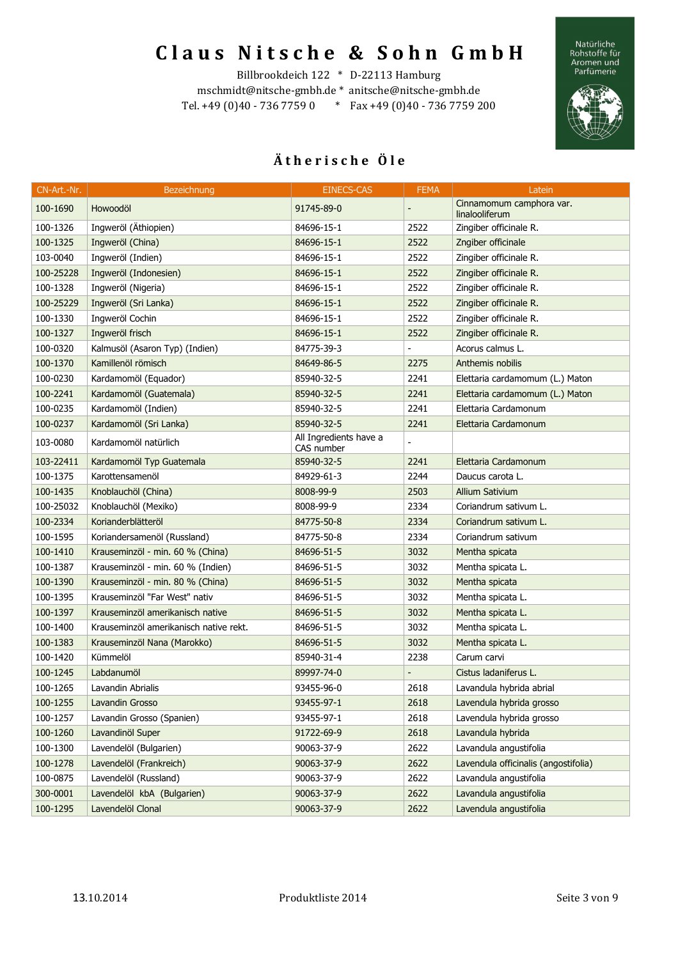Natürliche<br>Rohstoffe für<br>Aromen und<br>Parfümerie



#### Billbrookdeich 122 \* D-22113 Hamburg

mschmidt@nitsche-gmbh.de \* anitsche@nitsche-gmbh.de Tel. +49 (0)40 - 736 7759 0 \* Fax +49 (0)40 - 736 7759 200

| CN-Art.-Nr. | Bezeichnung                            | EINECS-CAS                           | <b>FEMA</b>    | Latein                                     |
|-------------|----------------------------------------|--------------------------------------|----------------|--------------------------------------------|
| 100-1690    | Howoodöl                               | 91745-89-0                           |                | Cinnamomum camphora var.<br>linalooliferum |
| 100-1326    | Ingweröl (Äthiopien)                   | 84696-15-1                           | 2522           | Zingiber officinale R.                     |
| 100-1325    | Ingweröl (China)                       | 84696-15-1                           | 2522           | Zngiber officinale                         |
| 103-0040    | Ingweröl (Indien)                      | 84696-15-1                           | 2522           | Zingiber officinale R.                     |
| 100-25228   | Ingweröl (Indonesien)                  | 84696-15-1                           | 2522           | Zingiber officinale R.                     |
| 100-1328    | Ingweröl (Nigeria)                     | 84696-15-1                           | 2522           | Zingiber officinale R.                     |
| 100-25229   | Ingweröl (Sri Lanka)                   | 84696-15-1                           | 2522           | Zingiber officinale R.                     |
| 100-1330    | Ingweröl Cochin                        | 84696-15-1                           | 2522           | Zingiber officinale R.                     |
| 100-1327    | Ingweröl frisch                        | 84696-15-1                           | 2522           | Zingiber officinale R.                     |
| 100-0320    | Kalmusöl (Asaron Typ) (Indien)         | 84775-39-3                           | $\blacksquare$ | Acorus calmus L.                           |
| 100-1370    | Kamillenöl römisch                     | 84649-86-5                           | 2275           | Anthemis nobilis                           |
| 100-0230    | Kardamomöl (Equador)                   | 85940-32-5                           | 2241           | Elettaria cardamomum (L.) Maton            |
| 100-2241    | Kardamomöl (Guatemala)                 | 85940-32-5                           | 2241           | Elettaria cardamomum (L.) Maton            |
| 100-0235    | Kardamomöl (Indien)                    | 85940-32-5                           | 2241           | Elettaria Cardamonum                       |
| 100-0237    | Kardamomöl (Sri Lanka)                 | 85940-32-5                           | 2241           | Elettaria Cardamonum                       |
| 103-0080    | Kardamomöl natürlich                   | All Ingredients have a<br>CAS number |                |                                            |
| 103-22411   | Kardamomöl Typ Guatemala               | 85940-32-5                           | 2241           | Elettaria Cardamonum                       |
| 100-1375    | Karottensamenöl                        | 84929-61-3                           | 2244           | Daucus carota L.                           |
| 100-1435    | Knoblauchöl (China)                    | 8008-99-9                            | 2503           | <b>Allium Sativium</b>                     |
| 100-25032   | Knoblauchöl (Mexiko)                   | 8008-99-9                            | 2334           | Coriandrum sativum L.                      |
| 100-2334    | Korianderblätteröl                     | 84775-50-8                           | 2334           | Coriandrum sativum L.                      |
| 100-1595    | Koriandersamenöl (Russland)            | 84775-50-8                           | 2334           | Coriandrum sativum                         |
| 100-1410    | Krauseminzöl - min. 60 % (China)       | 84696-51-5                           | 3032           | Mentha spicata                             |
| 100-1387    | Krauseminzöl - min. 60 % (Indien)      | 84696-51-5                           | 3032           | Mentha spicata L.                          |
| 100-1390    | Krauseminzöl - min. 80 % (China)       | 84696-51-5                           | 3032           | Mentha spicata                             |
| 100-1395    | Krauseminzöl "Far West" nativ          | 84696-51-5                           | 3032           | Mentha spicata L.                          |
| 100-1397    | Krauseminzöl amerikanisch native       | 84696-51-5                           | 3032           | Mentha spicata L.                          |
| 100-1400    | Krauseminzöl amerikanisch native rekt. | 84696-51-5                           | 3032           | Mentha spicata L.                          |
| 100-1383    | Krauseminzöl Nana (Marokko)            | 84696-51-5                           | 3032           | Mentha spicata L.                          |
| 100-1420    | Kümmelöl                               | 85940-31-4                           | 2238           | Carum carvi                                |
| 100-1245    | Labdanumöl                             | 89997-74-0                           |                | Cistus ladaniferus L.                      |
| 100-1265    | Lavandin Abrialis                      | 93455-96-0                           | 2618           | Lavandula hybrida abrial                   |
| 100-1255    | Lavandin Grosso                        | 93455-97-1                           | 2618           | Lavendula hybrida grosso                   |
| 100-1257    | Lavandin Grosso (Spanien)              | 93455-97-1                           | 2618           | Lavendula hybrida grosso                   |
| 100-1260    | Lavandinöl Super                       | 91722-69-9                           | 2618           | Lavandula hybrida                          |
| 100-1300    | Lavendelöl (Bulgarien)                 | 90063-37-9                           | 2622           | Lavandula angustifolia                     |
| 100-1278    | Lavendelöl (Frankreich)                | 90063-37-9                           | 2622           | Lavendula officinalis (angostifolia)       |
| 100-0875    | Lavendelöl (Russland)                  | 90063-37-9                           | 2622           | Lavandula angustifolia                     |
| 300-0001    | Lavendelöl kbA (Bulgarien)             | 90063-37-9                           | 2622           | Lavandula angustifolia                     |
| 100-1295    | Lavendelöl Clonal                      | 90063-37-9                           | 2622           | Lavendula angustifolia                     |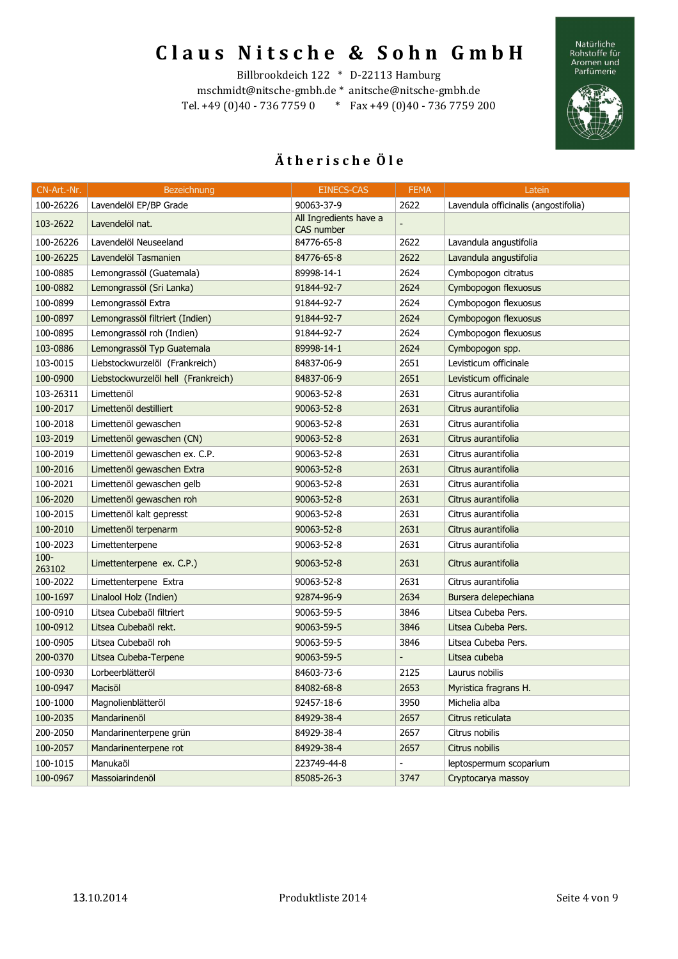Natürliche<br>Rohstoffe für<br>Aromen und<br>Parfümerie



#### Billbrookdeich 122 \* D-22113 Hamburg

mschmidt@nitsche-gmbh.de \* anitsche@nitsche-gmbh.de Tel. +49 (0)40 - 736 7759 0 \* Fax +49 (0)40 - 736 7759 200

| CN-Art.-Nr.       | Bezeichnung                         | <b>EINECS-CAS</b>                    | <b>FEMA</b>                  | Latein                               |
|-------------------|-------------------------------------|--------------------------------------|------------------------------|--------------------------------------|
| 100-26226         | Lavendelöl EP/BP Grade              | 90063-37-9                           | 2622                         | Lavendula officinalis (angostifolia) |
| 103-2622          | Lavendelöl nat.                     | All Ingredients have a<br>CAS number |                              |                                      |
| 100-26226         | Lavendelöl Neuseeland               | 84776-65-8                           | 2622                         | Lavandula angustifolia               |
| 100-26225         | Lavendelöl Tasmanien                | 84776-65-8                           | 2622                         | Lavandula angustifolia               |
| 100-0885          | Lemongrassöl (Guatemala)            | 89998-14-1                           | 2624                         | Cymbopogon citratus                  |
| 100-0882          | Lemongrassöl (Sri Lanka)            | 91844-92-7                           | 2624                         | Cymbopogon flexuosus                 |
| 100-0899          | Lemongrassöl Extra                  | 91844-92-7                           | 2624                         | Cymbopogon flexuosus                 |
| 100-0897          | Lemongrassöl filtriert (Indien)     | 91844-92-7                           | 2624                         | Cymbopogon flexuosus                 |
| 100-0895          | Lemongrassöl roh (Indien)           | 91844-92-7                           | 2624                         | Cymbopogon flexuosus                 |
| 103-0886          | Lemongrassöl Typ Guatemala          | 89998-14-1                           | 2624                         | Cymbopogon spp.                      |
| 103-0015          | Liebstockwurzelöl (Frankreich)      | 84837-06-9                           | 2651                         | Levisticum officinale                |
| 100-0900          | Liebstockwurzelöl hell (Frankreich) | 84837-06-9                           | 2651                         | Levisticum officinale                |
| 103-26311         | Limettenöl                          | 90063-52-8                           | 2631                         | Citrus aurantifolia                  |
| 100-2017          | Limettenöl destilliert              | 90063-52-8                           | 2631                         | Citrus aurantifolia                  |
| 100-2018          | Limettenöl gewaschen                | 90063-52-8                           | 2631                         | Citrus aurantifolia                  |
| 103-2019          | Limettenöl gewaschen (CN)           | 90063-52-8                           | 2631                         | Citrus aurantifolia                  |
| 100-2019          | Limettenöl gewaschen ex. C.P.       | 90063-52-8                           | 2631                         | Citrus aurantifolia                  |
| 100-2016          | Limettenöl gewaschen Extra          | 90063-52-8                           | 2631                         | Citrus aurantifolia                  |
| 100-2021          | Limettenöl gewaschen gelb           | 90063-52-8                           | 2631                         | Citrus aurantifolia                  |
| 106-2020          | Limettenöl gewaschen roh            | 90063-52-8                           | 2631                         | Citrus aurantifolia                  |
| 100-2015          | Limettenöl kalt gepresst            | 90063-52-8                           | 2631                         | Citrus aurantifolia                  |
| 100-2010          | Limettenöl terpenarm                | 90063-52-8                           | 2631                         | Citrus aurantifolia                  |
| 100-2023          | Limettenterpene                     | 90063-52-8                           | 2631                         | Citrus aurantifolia                  |
| $100 -$<br>263102 | Limettenterpene ex. C.P.)           | 90063-52-8                           | 2631                         | Citrus aurantifolia                  |
| 100-2022          | Limettenterpene Extra               | 90063-52-8                           | 2631                         | Citrus aurantifolia                  |
| 100-1697          | Linalool Holz (Indien)              | 92874-96-9                           | 2634                         | Bursera delepechiana                 |
| 100-0910          | Litsea Cubebaöl filtriert           | 90063-59-5                           | 3846                         | Litsea Cubeba Pers.                  |
| 100-0912          | Litsea Cubebaöl rekt.               | 90063-59-5                           | 3846                         | Litsea Cubeba Pers.                  |
| 100-0905          | Litsea Cubebaöl roh                 | 90063-59-5                           | 3846                         | Litsea Cubeba Pers.                  |
| 200-0370          | Litsea Cubeba-Terpene               | 90063-59-5                           |                              | Litsea cubeba                        |
| 100-0930          | Lorbeerblätteröl                    | 84603-73-6                           | 2125                         | Laurus nobilis                       |
| 100-0947          | Macisöl                             | 84082-68-8                           | 2653                         | Myristica fragrans H.                |
| 100-1000          | Magnolienblätteröl                  | 92457-18-6                           | 3950                         | Michelia alba                        |
| 100-2035          | Mandarinenöl                        | 84929-38-4                           | 2657                         | Citrus reticulata                    |
| 200-2050          | Mandarinenterpene grün              | 84929-38-4                           | 2657                         | Citrus nobilis                       |
| 100-2057          | Mandarinenterpene rot               | 84929-38-4                           | 2657                         | Citrus nobilis                       |
| 100-1015          | Manukaöl                            | 223749-44-8                          | $\qquad \qquad \blacksquare$ | leptospermum scoparium               |
| 100-0967          | Massoiarindenöl                     | 85085-26-3                           | 3747                         | Cryptocarya massoy                   |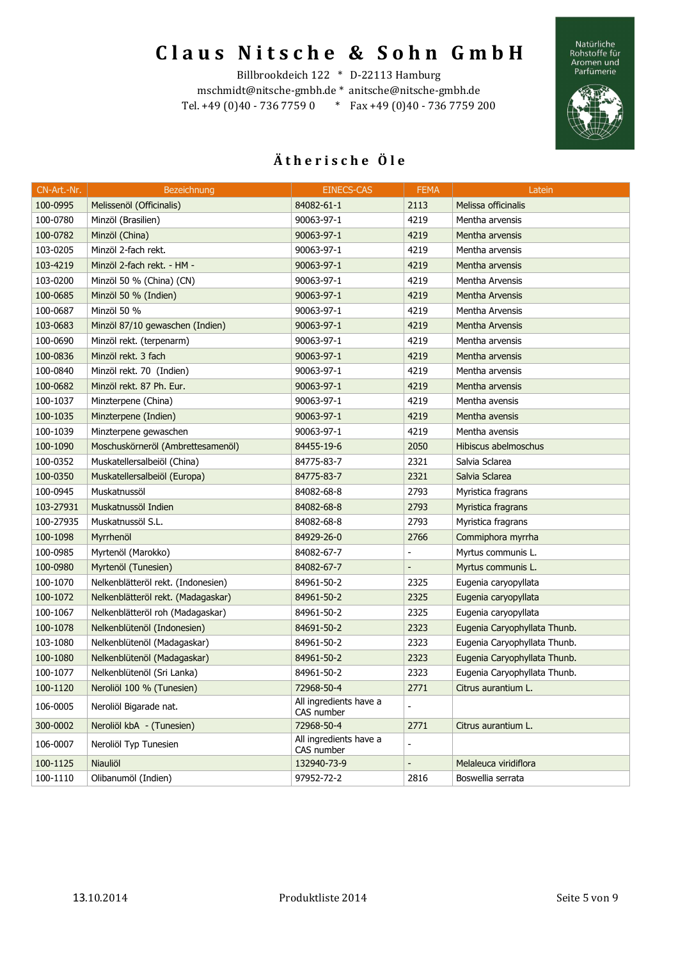Natürliche<br>Rohstoffe für<br>Aromen und<br>Parfümerie



#### Billbrookdeich 122 \* D-22113 Hamburg

mschmidt@nitsche-gmbh.de \* anitsche@nitsche-gmbh.de Tel. +49 (0)40 - 736 7759 0 \* Fax +49 (0)40 - 736 7759 200

| CN-Art.-Nr. | Bezeichnung                        | EINECS-CAS                           | <b>FEMA</b>              | Latein                       |
|-------------|------------------------------------|--------------------------------------|--------------------------|------------------------------|
| 100-0995    | Melissenöl (Officinalis)           | 84082-61-1                           | 2113                     | Melissa officinalis          |
| 100-0780    | Minzöl (Brasilien)                 | 90063-97-1                           | 4219                     | Mentha arvensis              |
| 100-0782    | Minzöl (China)                     | 90063-97-1                           | 4219                     | Mentha arvensis              |
| 103-0205    | Minzöl 2-fach rekt.                | 90063-97-1                           | 4219                     | Mentha arvensis              |
| 103-4219    | Minzöl 2-fach rekt. - HM -         | 90063-97-1                           | 4219                     | Mentha arvensis              |
| 103-0200    | Minzöl 50 % (China) (CN)           | 90063-97-1                           | 4219                     | Mentha Arvensis              |
| 100-0685    | Minzöl 50 % (Indien)               | 90063-97-1                           | 4219                     | <b>Mentha Arvensis</b>       |
| 100-0687    | Minzöl 50 %                        | 90063-97-1                           | 4219                     | Mentha Arvensis              |
| 103-0683    | Minzöl 87/10 gewaschen (Indien)    | 90063-97-1                           | 4219                     | Mentha Arvensis              |
| 100-0690    | Minzöl rekt. (terpenarm)           | 90063-97-1                           | 4219                     | Mentha arvensis              |
| 100-0836    | Minzöl rekt. 3 fach                | 90063-97-1                           | 4219                     | Mentha arvensis              |
| 100-0840    | Minzöl rekt. 70 (Indien)           | 90063-97-1                           | 4219                     | Mentha arvensis              |
| 100-0682    | Minzöl rekt. 87 Ph. Eur.           | 90063-97-1                           | 4219                     | Mentha arvensis              |
| 100-1037    | Minzterpene (China)                | 90063-97-1                           | 4219                     | Mentha avensis               |
| 100-1035    | Minzterpene (Indien)               | 90063-97-1                           | 4219                     | Mentha avensis               |
| 100-1039    | Minzterpene gewaschen              | 90063-97-1                           | 4219                     | Mentha avensis               |
| 100-1090    | Moschuskörneröl (Ambrettesamenöl)  | 84455-19-6                           | 2050                     | Hibiscus abelmoschus         |
| 100-0352    | Muskatellersalbeiöl (China)        | 84775-83-7                           | 2321                     | Salvia Sclarea               |
| 100-0350    | Muskatellersalbeiöl (Europa)       | 84775-83-7                           | 2321                     | Salvia Sclarea               |
| 100-0945    | Muskatnussöl                       | 84082-68-8                           | 2793                     | Myristica fragrans           |
| 103-27931   | Muskatnussöl Indien                | 84082-68-8                           | 2793                     | Myristica fragrans           |
| 100-27935   | Muskatnussöl S.L.                  | 84082-68-8                           | 2793                     | Myristica fragrans           |
| 100-1098    | Myrrhenöl                          | 84929-26-0                           | 2766                     | Commiphora myrrha            |
| 100-0985    | Myrtenöl (Marokko)                 | 84082-67-7                           | $\overline{\phantom{a}}$ | Myrtus communis L.           |
| 100-0980    | Myrtenöl (Tunesien)                | 84082-67-7                           | $\overline{\phantom{a}}$ | Myrtus communis L.           |
| 100-1070    | Nelkenblätteröl rekt. (Indonesien) | 84961-50-2                           | 2325                     | Eugenia caryopyllata         |
| 100-1072    | Nelkenblätteröl rekt. (Madagaskar) | 84961-50-2                           | 2325                     | Eugenia caryopyllata         |
| 100-1067    | Nelkenblätteröl roh (Madagaskar)   | 84961-50-2                           | 2325                     | Eugenia caryopyllata         |
| 100-1078    | Nelkenblütenöl (Indonesien)        | 84691-50-2                           | 2323                     | Eugenia Caryophyllata Thunb. |
| 103-1080    | Nelkenblütenöl (Madagaskar)        | 84961-50-2                           | 2323                     | Eugenia Caryophyllata Thunb. |
| 100-1080    | Nelkenblütenöl (Madagaskar)        | 84961-50-2                           | 2323                     | Eugenia Caryophyllata Thunb. |
| 100-1077    | Nelkenblütenöl (Sri Lanka)         | 84961-50-2                           | 2323                     | Eugenia Caryophyllata Thunb. |
| 100-1120    | Neroliöl 100 % (Tunesien)          | 72968-50-4                           | 2771                     | Citrus aurantium L.          |
| 106-0005    | Neroliöl Bigarade nat.             | All ingredients have a<br>CAS number | $\overline{a}$           |                              |
| 300-0002    | Neroliöl kbA - (Tunesien)          | 72968-50-4                           | 2771                     | Citrus aurantium L.          |
| 106-0007    | Neroliöl Typ Tunesien              | All ingredients have a<br>CAS number | $\overline{a}$           |                              |
| 100-1125    | Niauliöl                           | 132940-73-9                          | $\overline{a}$           | Melaleuca viridiflora        |
| 100-1110    | Olibanumöl (Indien)                | 97952-72-2                           | 2816                     | Boswellia serrata            |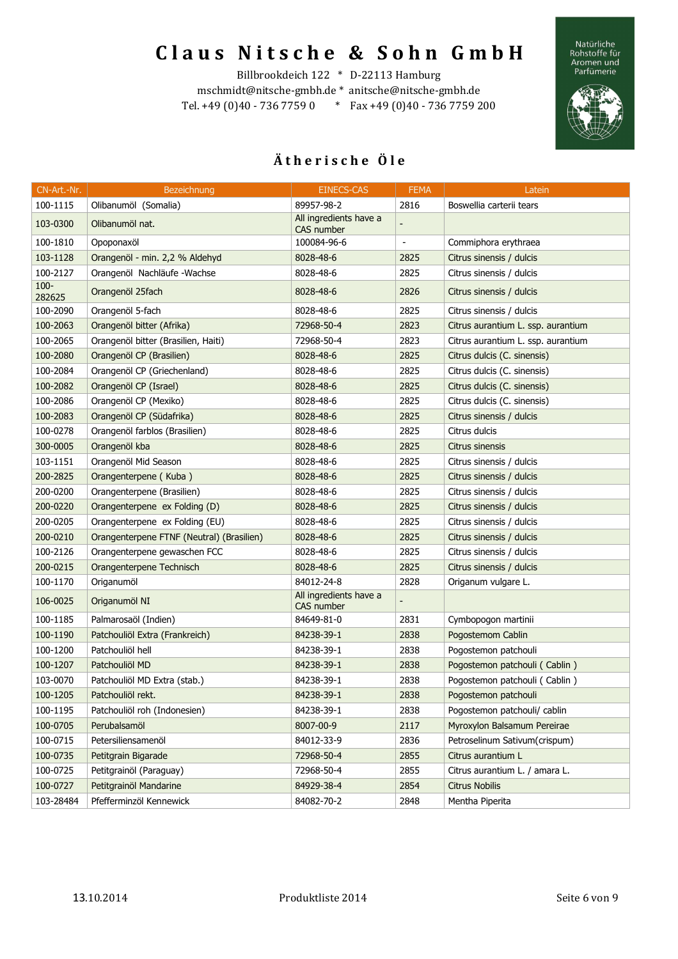Natürliche<br>Rohstoffe für<br>Aromen und<br>Parfümerie



#### Billbrookdeich 122 \* D-22113 Hamburg

mschmidt@nitsche-gmbh.de \* anitsche@nitsche-gmbh.de Tel. +49 (0)40 - 736 7759 0 \* Fax +49 (0)40 - 736 7759 200

| CN-Art.-Nr.       | Bezeichnung                               | <b>EINECS-CAS</b>                    | <b>FEMA</b>    | Latein                             |
|-------------------|-------------------------------------------|--------------------------------------|----------------|------------------------------------|
| 100-1115          | Olibanumöl (Somalia)                      | 89957-98-2                           | 2816           | Boswellia carterii tears           |
| 103-0300          | Olibanumöl nat.                           | All ingredients have a<br>CAS number |                |                                    |
| 100-1810          | Opoponaxöl                                | 100084-96-6                          | $\overline{a}$ | Commiphora erythraea               |
| 103-1128          | Orangenöl - min. 2,2 % Aldehyd            | 8028-48-6                            | 2825           | Citrus sinensis / dulcis           |
| 100-2127          | Orangenöl Nachläufe - Wachse              | 8028-48-6                            | 2825           | Citrus sinensis / dulcis           |
| $100 -$<br>282625 | Orangenöl 25fach                          | 8028-48-6                            | 2826           | Citrus sinensis / dulcis           |
| 100-2090          | Orangenöl 5-fach                          | 8028-48-6                            | 2825           | Citrus sinensis / dulcis           |
| 100-2063          | Orangenöl bitter (Afrika)                 | 72968-50-4                           | 2823           | Citrus aurantium L. ssp. aurantium |
| 100-2065          | Orangenöl bitter (Brasilien, Haiti)       | 72968-50-4                           | 2823           | Citrus aurantium L. ssp. aurantium |
| 100-2080          | Orangenöl CP (Brasilien)                  | 8028-48-6                            | 2825           | Citrus dulcis (C. sinensis)        |
| 100-2084          | Orangenöl CP (Griechenland)               | 8028-48-6                            | 2825           | Citrus dulcis (C. sinensis)        |
| 100-2082          | Orangenöl CP (Israel)                     | 8028-48-6                            | 2825           | Citrus dulcis (C. sinensis)        |
| 100-2086          | Orangenöl CP (Mexiko)                     | 8028-48-6                            | 2825           | Citrus dulcis (C. sinensis)        |
| 100-2083          | Orangenöl CP (Südafrika)                  | 8028-48-6                            | 2825           | Citrus sinensis / dulcis           |
| 100-0278          | Orangenöl farblos (Brasilien)             | 8028-48-6                            | 2825           | Citrus dulcis                      |
| 300-0005          | Orangenöl kba                             | 8028-48-6                            | 2825           | Citrus sinensis                    |
| 103-1151          | Orangenöl Mid Season                      | 8028-48-6                            | 2825           | Citrus sinensis / dulcis           |
| 200-2825          | Orangenterpene (Kuba)                     | 8028-48-6                            | 2825           | Citrus sinensis / dulcis           |
| 200-0200          | Orangenterpene (Brasilien)                | 8028-48-6                            | 2825           | Citrus sinensis / dulcis           |
| 200-0220          | Orangenterpene ex Folding (D)             | 8028-48-6                            | 2825           | Citrus sinensis / dulcis           |
| 200-0205          | Orangenterpene ex Folding (EU)            | 8028-48-6                            | 2825           | Citrus sinensis / dulcis           |
| 200-0210          | Orangenterpene FTNF (Neutral) (Brasilien) | 8028-48-6                            | 2825           | Citrus sinensis / dulcis           |
| 100-2126          | Orangenterpene gewaschen FCC              | 8028-48-6                            | 2825           | Citrus sinensis / dulcis           |
| 200-0215          | Orangenterpene Technisch                  | 8028-48-6                            | 2825           | Citrus sinensis / dulcis           |
| 100-1170          | Origanumöl                                | 84012-24-8                           | 2828           | Origanum vulgare L.                |
| 106-0025          | Origanumöl NI                             | All ingredients have a<br>CAS number |                |                                    |
| 100-1185          | Palmarosaöl (Indien)                      | 84649-81-0                           | 2831           | Cymbopogon martinii                |
| 100-1190          | Patchouliöl Extra (Frankreich)            | 84238-39-1                           | 2838           | Pogostemom Cablin                  |
| 100-1200          | Patchouliöl hell                          | 84238-39-1                           | 2838           | Pogostemon patchouli               |
| 100-1207          | Patchouliöl MD                            | 84238-39-1                           | 2838           | Pogostemon patchouli (Cablin)      |
| 103-0070          | Patchouliöl MD Extra (stab.)              | 84238-39-1                           | 2838           | Pogostemon patchouli (Cablin)      |
| 100-1205          | Patchouliöl rekt.                         | 84238-39-1                           | 2838           | Pogostemon patchouli               |
| 100-1195          | Patchouliöl roh (Indonesien)              | 84238-39-1                           | 2838           | Pogostemon patchouli/ cablin       |
| 100-0705          | Perubalsamöl                              | 8007-00-9                            | 2117           | Myroxylon Balsamum Pereirae        |
| 100-0715          | Petersiliensamenöl                        | 84012-33-9                           | 2836           | Petroselinum Sativum(crispum)      |
| 100-0735          | Petitgrain Bigarade                       | 72968-50-4                           | 2855           | Citrus aurantium L                 |
| 100-0725          | Petitgrainöl (Paraguay)                   | 72968-50-4                           | 2855           | Citrus aurantium L. / amara L.     |
| 100-0727          | Petitgrainöl Mandarine                    | 84929-38-4                           | 2854           | <b>Citrus Nobilis</b>              |
| 103-28484         | Pfefferminzöl Kennewick                   | 84082-70-2                           | 2848           | Mentha Piperita                    |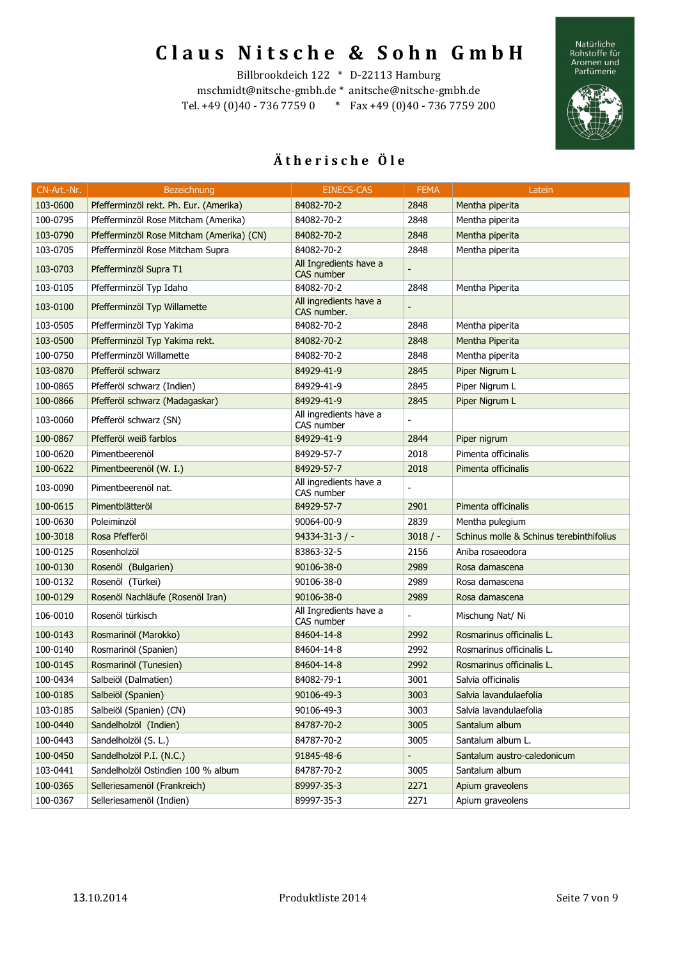Natürliche<br>Rohstoffe für<br>Aromen und<br>Parfümerie



### Billbrookdeich 122 \* D-22113 Hamburg

mschmidt@nitsche-gmbh.de \* anitsche@nitsche-gmbh.de Tel. +49 (0)40 - 736 7759 0 \* Fax +49 (0)40 - 736 7759 200

| CN-Art.-Nr. | Bezeichnung                               | <b>EINECS-CAS</b>                     | <b>FEMA</b>                  | Latein                                   |
|-------------|-------------------------------------------|---------------------------------------|------------------------------|------------------------------------------|
| 103-0600    | Pfefferminzöl rekt. Ph. Eur. (Amerika)    | 84082-70-2                            | 2848                         | Mentha piperita                          |
| 100-0795    | Pfefferminzöl Rose Mitcham (Amerika)      | 84082-70-2                            | 2848                         | Mentha piperita                          |
| 103-0790    | Pfefferminzöl Rose Mitcham (Amerika) (CN) | 84082-70-2                            | 2848                         | Mentha piperita                          |
| 103-0705    | Pfefferminzöl Rose Mitcham Supra          | 84082-70-2                            | 2848                         | Mentha piperita                          |
| 103-0703    | Pfefferminzöl Supra T1                    | All Ingredients have a<br>CAS number  |                              |                                          |
| 103-0105    | Pfefferminzöl Typ Idaho                   | 84082-70-2                            | 2848                         | Mentha Piperita                          |
| 103-0100    | Pfefferminzöl Typ Willamette              | All ingredients have a<br>CAS number. |                              |                                          |
| 103-0505    | Pfefferminzöl Typ Yakima                  | 84082-70-2                            | 2848                         | Mentha piperita                          |
| 103-0500    | Pfefferminzöl Typ Yakima rekt.            | 84082-70-2                            | 2848                         | Mentha Piperita                          |
| 100-0750    | Pfefferminzöl Willamette                  | 84082-70-2                            | 2848                         | Mentha piperita                          |
| 103-0870    | Pfefferöl schwarz                         | 84929-41-9                            | 2845                         | Piper Nigrum L                           |
| 100-0865    | Pfefferöl schwarz (Indien)                | 84929-41-9                            | 2845                         | Piper Nigrum L                           |
| 100-0866    | Pfefferöl schwarz (Madagaskar)            | 84929-41-9                            | 2845                         | Piper Nigrum L                           |
| 103-0060    | Pfefferöl schwarz (SN)                    | All ingredients have a<br>CAS number  |                              |                                          |
| 100-0867    | Pfefferöl weiß farblos                    | 84929-41-9                            | 2844                         | Piper nigrum                             |
| 100-0620    | Pimentbeerenöl                            | 84929-57-7                            | 2018                         | Pimenta officinalis                      |
| 100-0622    | Pimentbeerenöl (W. I.)                    | 84929-57-7                            | 2018                         | Pimenta officinalis                      |
| 103-0090    | Pimentbeerenöl nat.                       | All ingredients have a<br>CAS number  |                              |                                          |
| 100-0615    | Pimentblätteröl                           | 84929-57-7                            | 2901                         | Pimenta officinalis                      |
| 100-0630    | Poleiminzöl                               | 90064-00-9                            | 2839                         | Mentha pulegium                          |
| 100-3018    | Rosa Pfefferöl                            | $94334 - 31 - 3$ / -                  | 3018/                        | Schinus molle & Schinus terebinthifolius |
| 100-0125    | Rosenholzöl                               | 83863-32-5                            | 2156                         | Aniba rosaeodora                         |
| 100-0130    | Rosenöl (Bulgarien)                       | 90106-38-0                            | 2989                         | Rosa damascena                           |
| 100-0132    | Rosenöl (Türkei)                          | 90106-38-0                            | 2989                         | Rosa damascena                           |
| 100-0129    | Rosenöl Nachläufe (Rosenöl Iran)          | 90106-38-0                            | 2989                         | Rosa damascena                           |
| 106-0010    | Rosenöl türkisch                          | All Ingredients have a<br>CAS number  | $\overline{\phantom{a}}$     | Mischung Nat/ Ni                         |
| 100-0143    | Rosmarinöl (Marokko)                      | 84604-14-8                            | 2992                         | Rosmarinus officinalis L.                |
| 100-0140    | Rosmarinöl (Spanien)                      | 84604-14-8                            | 2992                         | Rosmarinus officinalis L.                |
| 100-0145    | Rosmarinöl (Tunesien)                     | 84604-14-8                            | 2992                         | Rosmarinus officinalis L.                |
| 100-0434    | Salbeiöl (Dalmatien)                      | 84082-79-1                            | 3001                         | Salvia officinalis                       |
| 100-0185    | Salbeiöl (Spanien)                        | 90106-49-3                            | 3003                         | Salvia lavandulaefolia                   |
| 103-0185    | Salbeiöl (Spanien) (CN)                   | 90106-49-3                            | 3003                         | Salvia lavandulaefolia                   |
| 100-0440    | Sandelholzöl (Indien)                     | 84787-70-2                            | 3005                         | Santalum album                           |
| 100-0443    | Sandelholzöl (S. L.)                      | 84787-70-2                            | 3005                         | Santalum album L.                        |
| 100-0450    | Sandelholzöl P.I. (N.C.)                  | 91845-48-6                            | $\qquad \qquad \blacksquare$ | Santalum austro-caledonicum              |
| 103-0441    | Sandelholzöl Ostindien 100 % album        | 84787-70-2                            | 3005                         | Santalum album                           |
| 100-0365    | Selleriesamenöl (Frankreich)              | 89997-35-3                            | 2271                         | Apium graveolens                         |
| 100-0367    | Selleriesamenöl (Indien)                  | 89997-35-3                            | 2271                         | Apium graveolens                         |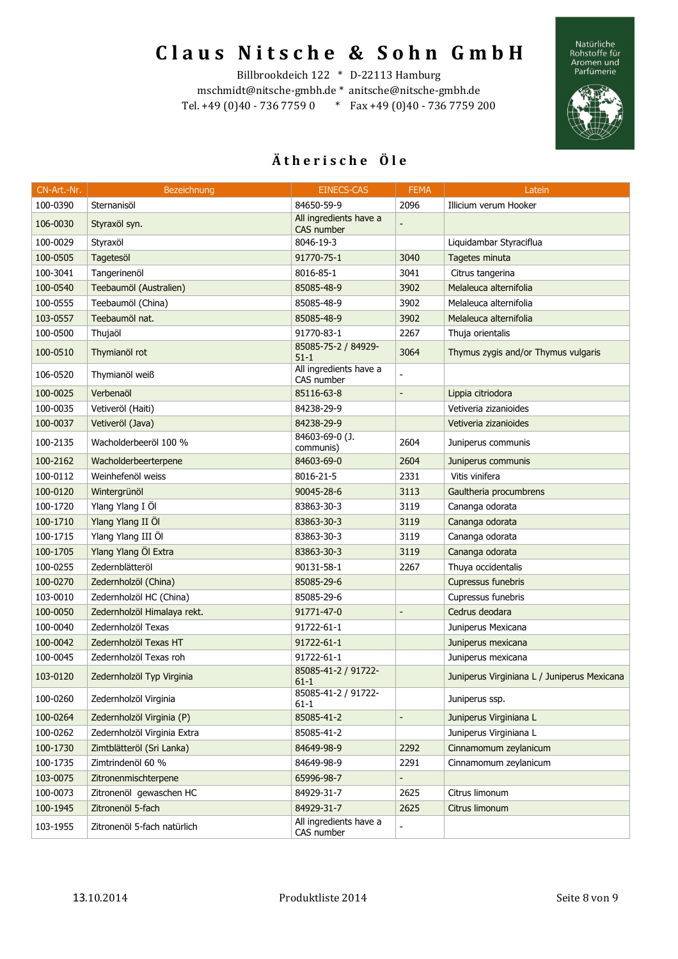Natürliche<br>Rohstoffe für<br>Aromen und<br>Parfümerie



#### Billbrookdeich 122 \* D-22113 Hamburg

mschmidt@nitsche-gmbh.de \* anitsche@nitsche-gmbh.de Tel. +49 (0)40 - 736 7759 0 \* Fax +49 (0)40 - 736 7759 200

| CN-Art.-Nr. | Bezeichnung                 | <b>EINECS-CAS</b>                    | <b>FEMA</b>              | Latein                                      |
|-------------|-----------------------------|--------------------------------------|--------------------------|---------------------------------------------|
| 100-0390    | Sternanisöl                 | 84650-59-9                           | 2096                     | Illicium verum Hooker                       |
| 106-0030    | Styraxöl syn.               | All ingredients have a<br>CAS number | L,                       |                                             |
| 100-0029    | Styraxöl                    | 8046-19-3                            |                          | Liquidambar Styraciflua                     |
| 100-0505    | Tagetesöl                   | 91770-75-1                           | 3040                     | Tagetes minuta                              |
| 100-3041    | Tangerinenöl                | 8016-85-1                            | 3041                     | Citrus tangerina                            |
| 100-0540    | Teebaumöl (Australien)      | 85085-48-9                           | 3902                     | Melaleuca alternifolia                      |
| 100-0555    | Teebaumöl (China)           | 85085-48-9                           | 3902                     | Melaleuca alternifolia                      |
| 103-0557    | Teebaumöl nat.              | 85085-48-9                           | 3902                     | Melaleuca alternifolia                      |
| 100-0500    | Thujaöl                     | 91770-83-1                           | 2267                     | Thuja orientalis                            |
| 100-0510    | Thymianöl rot               | 85085-75-2 / 84929-<br>$51 - 1$      | 3064                     | Thymus zygis and/or Thymus vulgaris         |
| 106-0520    | Thymianöl weiß              | All ingredients have a<br>CAS number |                          |                                             |
| 100-0025    | Verbenaöl                   | 85116-63-8                           | $\overline{a}$           | Lippia citriodora                           |
| 100-0035    | Vetiveröl (Haiti)           | 84238-29-9                           |                          | Vetiveria zizanioides                       |
| 100-0037    | Vetiveröl (Java)            | 84238-29-9                           |                          | Vetiveria zizanioides                       |
| 100-2135    | Wacholderbeeröl 100 %       | 84603-69-0 (J.<br>communis)          | 2604                     | Juniperus communis                          |
| 100-2162    | Wacholderbeerterpene        | 84603-69-0                           | 2604                     | Juniperus communis                          |
| 100-0112    | Weinhefenöl weiss           | 8016-21-5                            | 2331                     | Vitis vinifera                              |
| 100-0120    | Wintergrünöl                | 90045-28-6                           | 3113                     | Gaultheria procumbrens                      |
| 100-1720    | Ylang Ylang I Öl            | 83863-30-3                           | 3119                     | Cananga odorata                             |
| 100-1710    | Ylang Ylang II Öl           | 83863-30-3                           | 3119                     | Cananga odorata                             |
| 100-1715    | Ylang Ylang III Öl          | 83863-30-3                           | 3119                     | Cananga odorata                             |
| 100-1705    | Ylang Ylang Öl Extra        | 83863-30-3                           | 3119                     | Cananga odorata                             |
| 100-0255    | Zedernblätteröl             | 90131-58-1                           | 2267                     | Thuya occidentalis                          |
| 100-0270    | Zedernholzöl (China)        | 85085-29-6                           |                          | Cupressus funebris                          |
| 103-0010    | Zedernholzöl HC (China)     | 85085-29-6                           |                          | Cupressus funebris                          |
| 100-0050    | Zedernholzöl Himalaya rekt. | 91771-47-0                           | $\overline{a}$           | Cedrus deodara                              |
| 100-0040    | Zedernholzöl Texas          | 91722-61-1                           |                          | Juniperus Mexicana                          |
| 100-0042    | Zedernholzöl Texas HT       | 91722-61-1                           |                          | Juniperus mexicana                          |
| 100-0045    | Zedernholzöl Texas roh      | 91722-61-1                           |                          | Juniperus mexicana                          |
| 103-0120    | Zedernholzöl Typ Virginia   | 85085-41-2 / 91722-<br>$61 - 1$      |                          | Juniperus Virginiana L / Juniperus Mexicana |
| 100-0260    | Zedernholzöl Virginia       | 85085-41-2 / 91722-<br>$61 - 1$      |                          | Juniperus ssp.                              |
| 100-0264    | Zedernholzöl Virginia (P)   | 85085-41-2                           | $\blacksquare$           | Juniperus Virginiana L                      |
| 100-0262    | Zedernholzöl Virginia Extra | 85085-41-2                           |                          | Juniperus Virginiana L                      |
| 100-1730    | Zimtblätteröl (Sri Lanka)   | 84649-98-9                           | 2292                     | Cinnamomum zeylanicum                       |
| 100-1735    | Zimtrindenöl 60 %           | 84649-98-9                           | 2291                     | Cinnamomum zeylanicum                       |
| 103-0075    | Zitronenmischterpene        | 65996-98-7                           | $\overline{\phantom{m}}$ |                                             |
| 100-0073    | Zitronenöl gewaschen HC     | 84929-31-7                           | 2625                     | Citrus limonum                              |
| 100-1945    | Zitronenöl 5-fach           | 84929-31-7                           | 2625                     | Citrus limonum                              |
| 103-1955    | Zitronenöl 5-fach natürlich | All ingredients have a<br>CAS number | $\blacksquare$           |                                             |